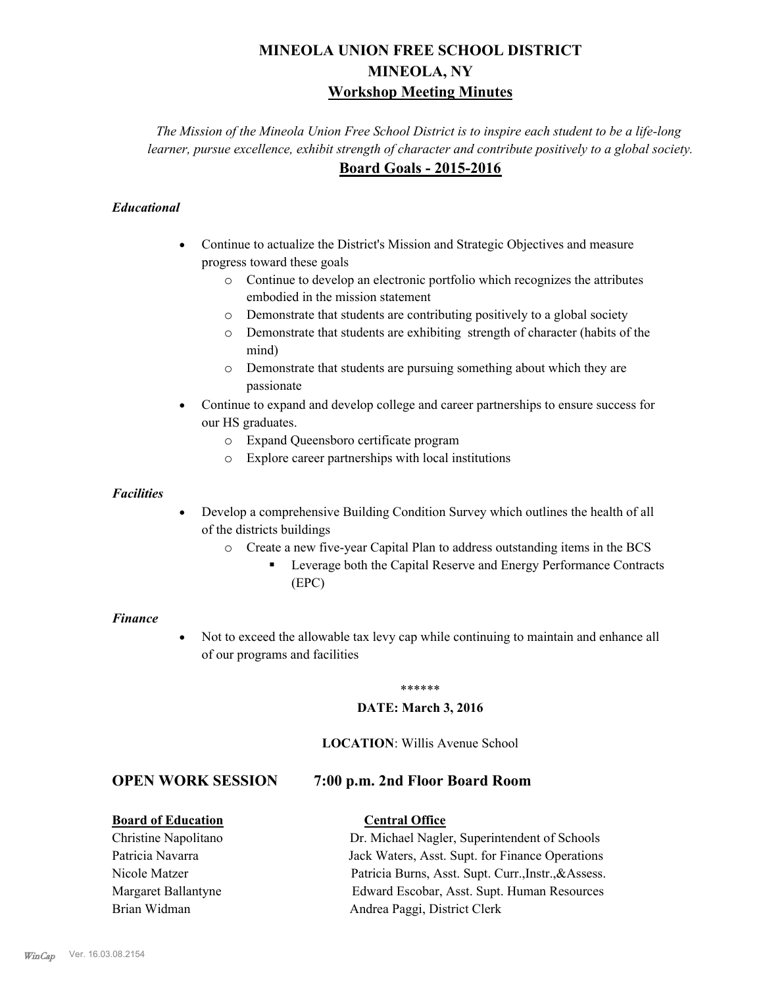# **MINEOLA UNION FREE SCHOOL DISTRICT MINEOLA, NY Workshop Meeting Minutes**

*The Mission of the Mineola Union Free School District is to inspire each student to be a life-long learner, pursue excellence, exhibit strength of character and contribute positively to a global society.* **Board Goals - 2015-2016**

# *Educational*

- · Continue to actualize the District's Mission and Strategic Objectives and measure progress toward these goals
	- o Continue to develop an electronic portfolio which recognizes the attributes embodied in the mission statement
	- o Demonstrate that students are contributing positively to a global society
	- o Demonstrate that students are exhibiting strength of character (habits of the mind)
	- o Demonstrate that students are pursuing something about which they are passionate
- Continue to expand and develop college and career partnerships to ensure success for our HS graduates.
	- o Expand Queensboro certificate program
	- o Explore career partnerships with local institutions

#### *Facilities*

- Develop a comprehensive Building Condition Survey which outlines the health of all of the districts buildings
	- o Create a new five-year Capital Plan to address outstanding items in the BCS
		- § Leverage both the Capital Reserve and Energy Performance Contracts (EPC)

#### *Finance*

• Not to exceed the allowable tax levy cap while continuing to maintain and enhance all of our programs and facilities

#### \*\*\*\*\*\*

#### **DATE: March 3, 2016**

#### **LOCATION**: Willis Avenue School

# **OPEN WORK SESSION 7:00 p.m. 2nd Floor Board Room**

## **Board of Education Central Office**

Christine Napolitano Dr. Michael Nagler, Superintendent of Schools Patricia Navarra Jack Waters, Asst. Supt. for Finance Operations Nicole Matzer Patricia Burns, Asst. Supt. Curr.,Instr.,&Assess. Margaret Ballantyne Edward Escobar, Asst. Supt. Human Resources Brian Widman **Andrea Paggi, District Clerk**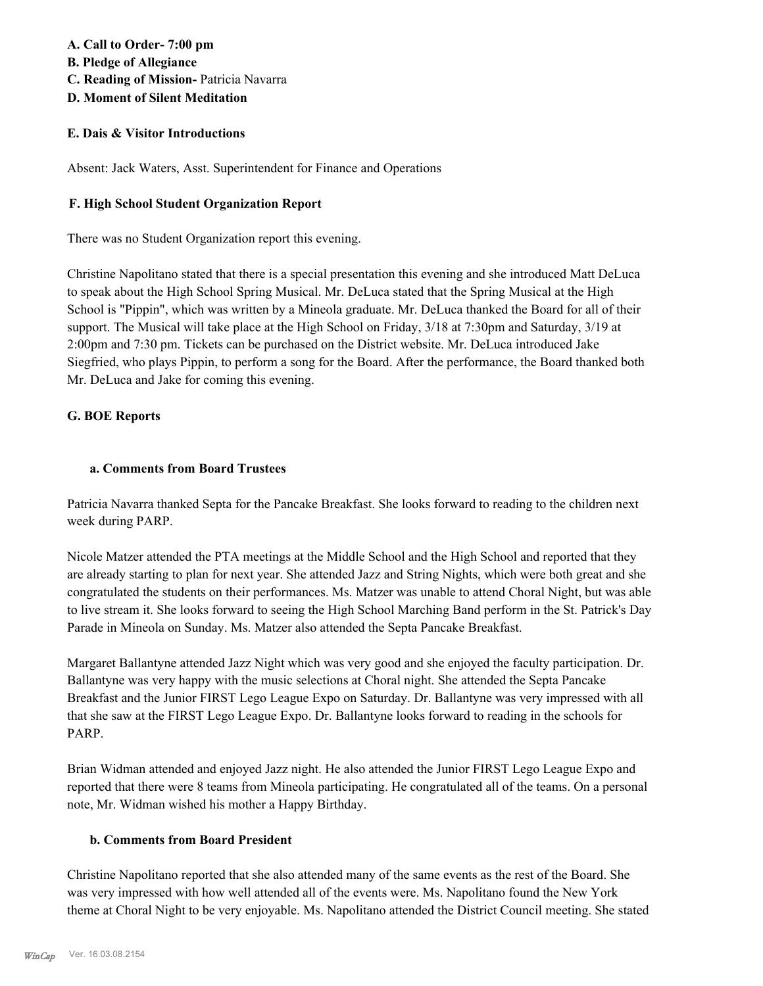# **A. Call to Order- 7:00 pm**

- **B. Pledge of Allegiance**
- **C. Reading of Mission-** Patricia Navarra
- **D. Moment of Silent Meditation**

# **E. Dais & Visitor Introductions**

Absent: Jack Waters, Asst. Superintendent for Finance and Operations

# **F. High School Student Organization Report**

There was no Student Organization report this evening.

Christine Napolitano stated that there is a special presentation this evening and she introduced Matt DeLuca to speak about the High School Spring Musical. Mr. DeLuca stated that the Spring Musical at the High School is "Pippin", which was written by a Mineola graduate. Mr. DeLuca thanked the Board for all of their support. The Musical will take place at the High School on Friday, 3/18 at 7:30pm and Saturday, 3/19 at 2:00pm and 7:30 pm. Tickets can be purchased on the District website. Mr. DeLuca introduced Jake Siegfried, who plays Pippin, to perform a song for the Board. After the performance, the Board thanked both Mr. DeLuca and Jake for coming this evening.

# **G. BOE Reports**

# **a. Comments from Board Trustees**

Patricia Navarra thanked Septa for the Pancake Breakfast. She looks forward to reading to the children next week during PARP.

Nicole Matzer attended the PTA meetings at the Middle School and the High School and reported that they are already starting to plan for next year. She attended Jazz and String Nights, which were both great and she congratulated the students on their performances. Ms. Matzer was unable to attend Choral Night, but was able to live stream it. She looks forward to seeing the High School Marching Band perform in the St. Patrick's Day Parade in Mineola on Sunday. Ms. Matzer also attended the Septa Pancake Breakfast.

Margaret Ballantyne attended Jazz Night which was very good and she enjoyed the faculty participation. Dr. Ballantyne was very happy with the music selections at Choral night. She attended the Septa Pancake Breakfast and the Junior FIRST Lego League Expo on Saturday. Dr. Ballantyne was very impressed with all that she saw at the FIRST Lego League Expo. Dr. Ballantyne looks forward to reading in the schools for PARP.

Brian Widman attended and enjoyed Jazz night. He also attended the Junior FIRST Lego League Expo and reported that there were 8 teams from Mineola participating. He congratulated all of the teams. On a personal note, Mr. Widman wished his mother a Happy Birthday.

# **b. Comments from Board President**

Christine Napolitano reported that she also attended many of the same events as the rest of the Board. She was very impressed with how well attended all of the events were. Ms. Napolitano found the New York theme at Choral Night to be very enjoyable. Ms. Napolitano attended the District Council meeting. She stated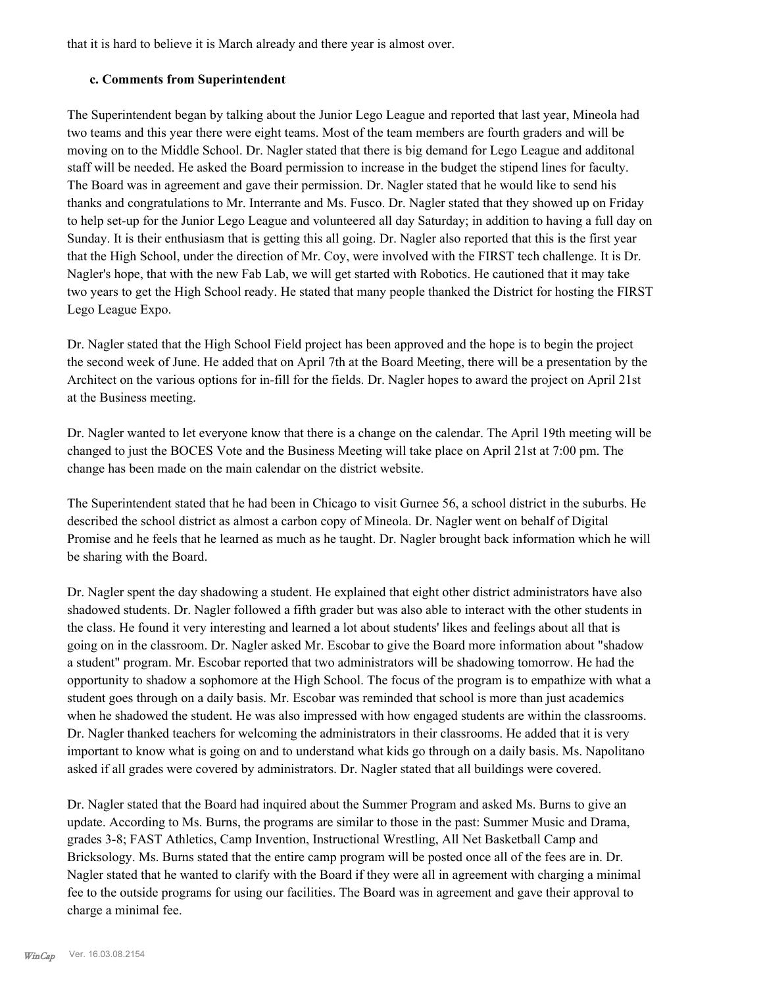that it is hard to believe it is March already and there year is almost over.

#### **c. Comments from Superintendent**

The Superintendent began by talking about the Junior Lego League and reported that last year, Mineola had two teams and this year there were eight teams. Most of the team members are fourth graders and will be moving on to the Middle School. Dr. Nagler stated that there is big demand for Lego League and additonal staff will be needed. He asked the Board permission to increase in the budget the stipend lines for faculty. The Board was in agreement and gave their permission. Dr. Nagler stated that he would like to send his thanks and congratulations to Mr. Interrante and Ms. Fusco. Dr. Nagler stated that they showed up on Friday to help set-up for the Junior Lego League and volunteered all day Saturday; in addition to having a full day on Sunday. It is their enthusiasm that is getting this all going. Dr. Nagler also reported that this is the first year that the High School, under the direction of Mr. Coy, were involved with the FIRST tech challenge. It is Dr. Nagler's hope, that with the new Fab Lab, we will get started with Robotics. He cautioned that it may take two years to get the High School ready. He stated that many people thanked the District for hosting the FIRST Lego League Expo.

Dr. Nagler stated that the High School Field project has been approved and the hope is to begin the project the second week of June. He added that on April 7th at the Board Meeting, there will be a presentation by the Architect on the various options for in-fill for the fields. Dr. Nagler hopes to award the project on April 21st at the Business meeting.

Dr. Nagler wanted to let everyone know that there is a change on the calendar. The April 19th meeting will be changed to just the BOCES Vote and the Business Meeting will take place on April 21st at 7:00 pm. The change has been made on the main calendar on the district website.

The Superintendent stated that he had been in Chicago to visit Gurnee 56, a school district in the suburbs. He described the school district as almost a carbon copy of Mineola. Dr. Nagler went on behalf of Digital Promise and he feels that he learned as much as he taught. Dr. Nagler brought back information which he will be sharing with the Board.

Dr. Nagler spent the day shadowing a student. He explained that eight other district administrators have also shadowed students. Dr. Nagler followed a fifth grader but was also able to interact with the other students in the class. He found it very interesting and learned a lot about students' likes and feelings about all that is going on in the classroom. Dr. Nagler asked Mr. Escobar to give the Board more information about "shadow a student" program. Mr. Escobar reported that two administrators will be shadowing tomorrow. He had the opportunity to shadow a sophomore at the High School. The focus of the program is to empathize with what a student goes through on a daily basis. Mr. Escobar was reminded that school is more than just academics when he shadowed the student. He was also impressed with how engaged students are within the classrooms. Dr. Nagler thanked teachers for welcoming the administrators in their classrooms. He added that it is very important to know what is going on and to understand what kids go through on a daily basis. Ms. Napolitano asked if all grades were covered by administrators. Dr. Nagler stated that all buildings were covered.

Dr. Nagler stated that the Board had inquired about the Summer Program and asked Ms. Burns to give an update. According to Ms. Burns, the programs are similar to those in the past: Summer Music and Drama, grades 3-8; FAST Athletics, Camp Invention, Instructional Wrestling, All Net Basketball Camp and Bricksology. Ms. Burns stated that the entire camp program will be posted once all of the fees are in. Dr. Nagler stated that he wanted to clarify with the Board if they were all in agreement with charging a minimal fee to the outside programs for using our facilities. The Board was in agreement and gave their approval to charge a minimal fee.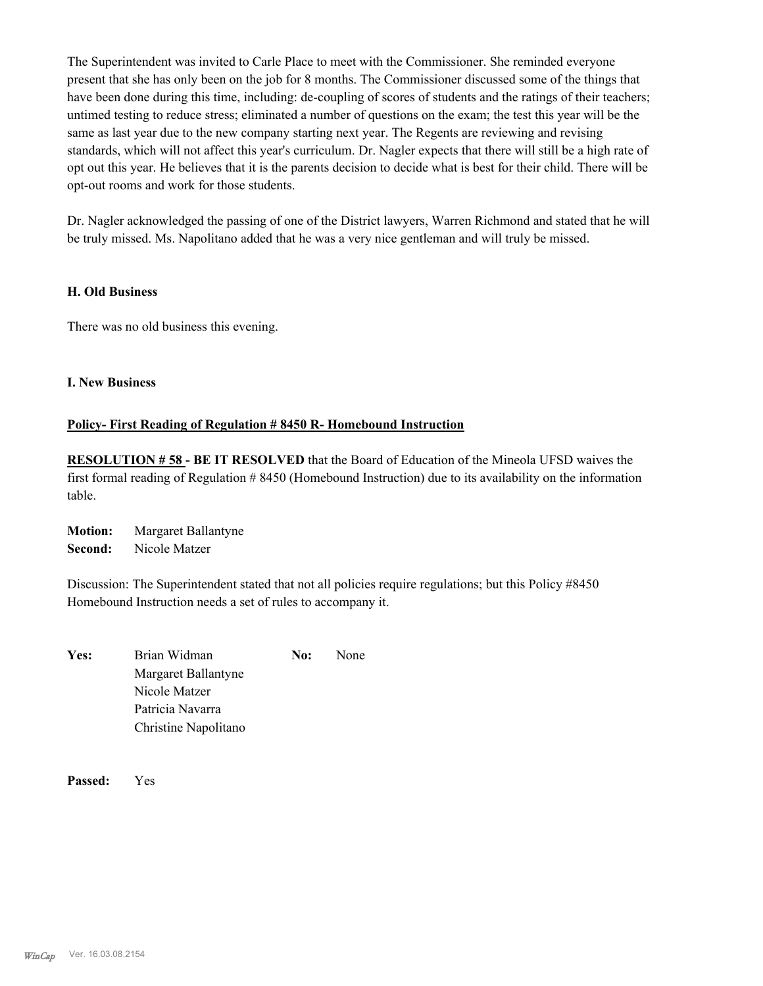The Superintendent was invited to Carle Place to meet with the Commissioner. She reminded everyone present that she has only been on the job for 8 months. The Commissioner discussed some of the things that have been done during this time, including: de-coupling of scores of students and the ratings of their teachers; untimed testing to reduce stress; eliminated a number of questions on the exam; the test this year will be the same as last year due to the new company starting next year. The Regents are reviewing and revising standards, which will not affect this year's curriculum. Dr. Nagler expects that there will still be a high rate of opt out this year. He believes that it is the parents decision to decide what is best for their child. There will be opt-out rooms and work for those students.

Dr. Nagler acknowledged the passing of one of the District lawyers, Warren Richmond and stated that he will be truly missed. Ms. Napolitano added that he was a very nice gentleman and will truly be missed.

#### **H. Old Business**

There was no old business this evening.

#### **I. New Business**

## **Policy- First Reading of Regulation # 8450 R- Homebound Instruction**

**RESOLUTION # 58 - BE IT RESOLVED** that the Board of Education of the Mineola UFSD waives the first formal reading of Regulation # 8450 (Homebound Instruction) due to its availability on the information table.

**Motion:** Margaret Ballantyne **Second:** Nicole Matzer

Discussion: The Superintendent stated that not all policies require regulations; but this Policy #8450 Homebound Instruction needs a set of rules to accompany it.

Yes: Brian Widman **No:** None Margaret Ballantyne Nicole Matzer Patricia Navarra Christine Napolitano

**Passed:** Yes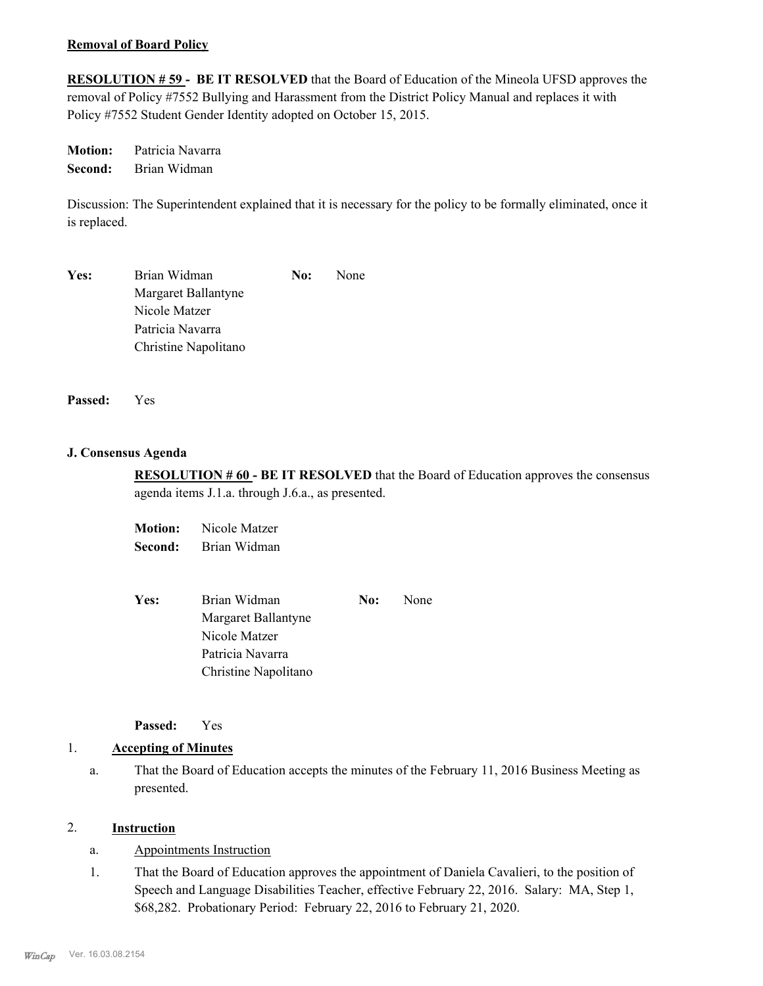#### **Removal of Board Policy**

**RESOLUTION # 59 - BE IT RESOLVED** that the Board of Education of the Mineola UFSD approves the removal of Policy #7552 Bullying and Harassment from the District Policy Manual and replaces it with Policy #7552 Student Gender Identity adopted on October 15, 2015.

**Motion:** Patricia Navarra **Second:** Brian Widman

Discussion: The Superintendent explained that it is necessary for the policy to be formally eliminated, once it is replaced.

| Yes: | Brian Widman         | No: | <b>None</b> |
|------|----------------------|-----|-------------|
|      | Margaret Ballantyne  |     |             |
|      | Nicole Matzer        |     |             |
|      | Patricia Navarra     |     |             |
|      | Christine Napolitano |     |             |

**Passed:** Yes

#### **J. Consensus Agenda**

**RESOLUTION # 60 - BE IT RESOLVED** that the Board of Education approves the consensus agenda items J.1.a. through J.6.a., as presented.

**Motion:** Nicole Matzer **Second:** Brian Widman

| <b>Yes:</b> | Brian Widman<br>No:  |  | None |
|-------------|----------------------|--|------|
|             | Margaret Ballantyne  |  |      |
|             | Nicole Matzer        |  |      |
|             | Patricia Navarra     |  |      |
|             | Christine Napolitano |  |      |

**Passed:** Yes

#### 1. **Accepting of Minutes**

That the Board of Education accepts the minutes of the February 11, 2016 Business Meeting as presented. a.

#### 2. **Instruction**

- a. Appointments Instruction
- That the Board of Education approves the appointment of Daniela Cavalieri, to the position of Speech and Language Disabilities Teacher, effective February 22, 2016. Salary: MA, Step 1, \$68,282. Probationary Period: February 22, 2016 to February 21, 2020. 1.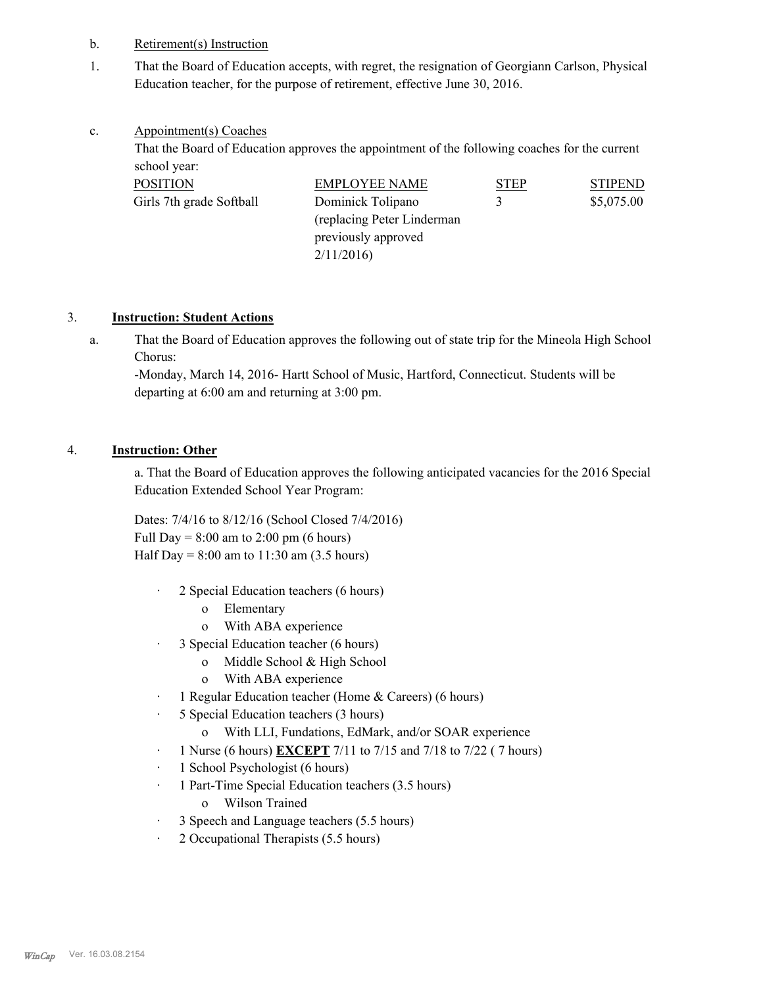- b. Retirement(s) Instruction
- That the Board of Education accepts, with regret, the resignation of Georgiann Carlson, Physical Education teacher, for the purpose of retirement, effective June 30, 2016. 1.

#### Appointment(s) Coaches c.

That the Board of Education approves the appointment of the following coaches for the current school year:

| <b>POSITION</b>          | <b>EMPLOYEE NAME</b>        | <b>STEP</b> | <b>STIPEND</b> |
|--------------------------|-----------------------------|-------------|----------------|
| Girls 7th grade Softball | Dominick Tolipano<br>3      |             | \$5,075.00     |
|                          | (replacing Peter Linderman) |             |                |
|                          | previously approved         |             |                |
|                          | 2/11/2016                   |             |                |

# 3. **Instruction: Student Actions**

That the Board of Education approves the following out of state trip for the Mineola High School Chorus: a.

-Monday, March 14, 2016- Hartt School of Music, Hartford, Connecticut. Students will be departing at 6:00 am and returning at 3:00 pm.

# 4. **Instruction: Other**

a. That the Board of Education approves the following anticipated vacancies for the 2016 Special Education Extended School Year Program:

Dates: 7/4/16 to 8/12/16 (School Closed 7/4/2016) Full Day =  $8:00$  am to  $2:00$  pm (6 hours) Half Day =  $8:00$  am to  $11:30$  am  $(3.5$  hours)

- · 2 Special Education teachers (6 hours)
	- o Elementary
	- o With ABA experience
- · 3 Special Education teacher (6 hours)
	- o Middle School & High School
	- o With ABA experience
- · 1 Regular Education teacher (Home & Careers) (6 hours)
- · 5 Special Education teachers (3 hours)
	- o With LLI, Fundations, EdMark, and/or SOAR experience
- · 1 Nurse (6 hours) **EXCEPT** 7/11 to 7/15 and 7/18 to 7/22 ( 7 hours)
- · 1 School Psychologist (6 hours)
- · 1 Part-Time Special Education teachers (3.5 hours)
	- o Wilson Trained
- · 3 Speech and Language teachers (5.5 hours)
- · 2 Occupational Therapists (5.5 hours)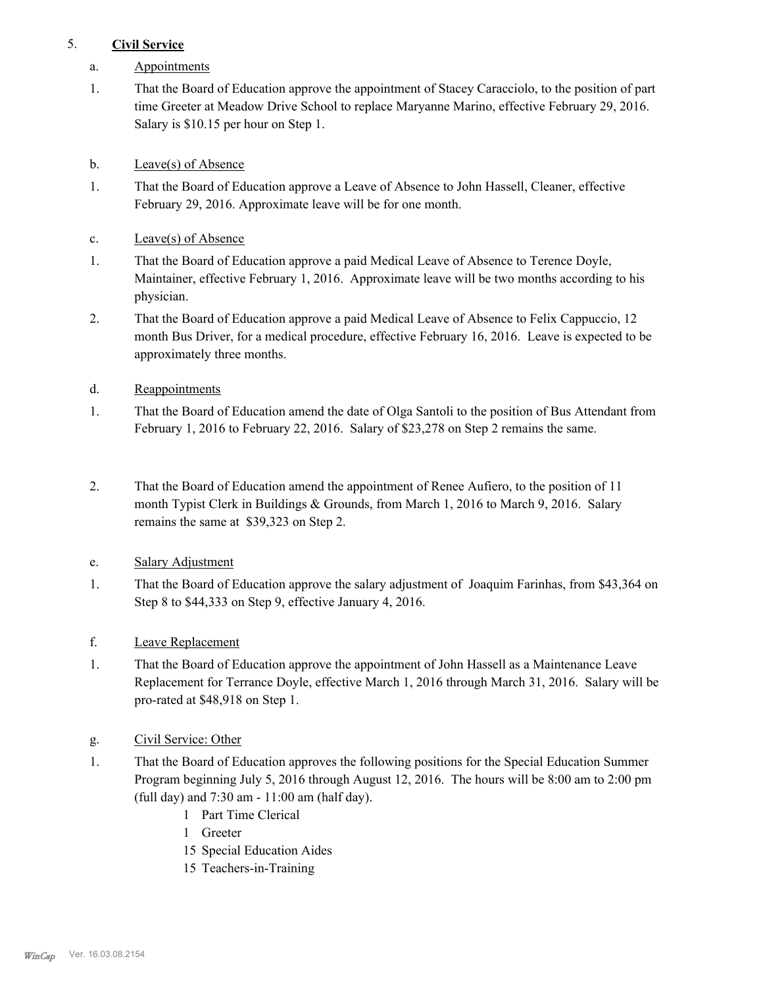# 5. **Civil Service**

- a. Appointments
- That the Board of Education approve the appointment of Stacey Caracciolo, to the position of part time Greeter at Meadow Drive School to replace Maryanne Marino, effective February 29, 2016. Salary is \$10.15 per hour on Step 1. 1.
- b. Leave(s) of Absence
- That the Board of Education approve a Leave of Absence to John Hassell, Cleaner, effective February 29, 2016. Approximate leave will be for one month. 1.
- c. Leave(s) of Absence
- That the Board of Education approve a paid Medical Leave of Absence to Terence Doyle, Maintainer, effective February 1, 2016. Approximate leave will be two months according to his physician. 1.
- That the Board of Education approve a paid Medical Leave of Absence to Felix Cappuccio, 12 month Bus Driver, for a medical procedure, effective February 16, 2016. Leave is expected to be approximately three months. 2.
- d. Reappointments
- That the Board of Education amend the date of Olga Santoli to the position of Bus Attendant from February 1, 2016 to February 22, 2016. Salary of \$23,278 on Step 2 remains the same. 1.
- That the Board of Education amend the appointment of Renee Aufiero, to the position of 11 month Typist Clerk in Buildings & Grounds, from March 1, 2016 to March 9, 2016. Salary remains the same at \$39,323 on Step 2. 2.
- e. Salary Adjustment
- That the Board of Education approve the salary adjustment of Joaquim Farinhas, from \$43,364 on Step 8 to \$44,333 on Step 9, effective January 4, 2016. 1.
- f. Leave Replacement
- That the Board of Education approve the appointment of John Hassell as a Maintenance Leave Replacement for Terrance Doyle, effective March 1, 2016 through March 31, 2016. Salary will be pro-rated at \$48,918 on Step 1. 1.
- g. Civil Service: Other
- That the Board of Education approves the following positions for the Special Education Summer Program beginning July 5, 2016 through August 12, 2016. The hours will be 8:00 am to 2:00 pm (full day) and 7:30 am - 11:00 am (half day). 1.
	- 1 Part Time Clerical
	- 1 Greeter
	- 15 Special Education Aides
	- 15 Teachers-in-Training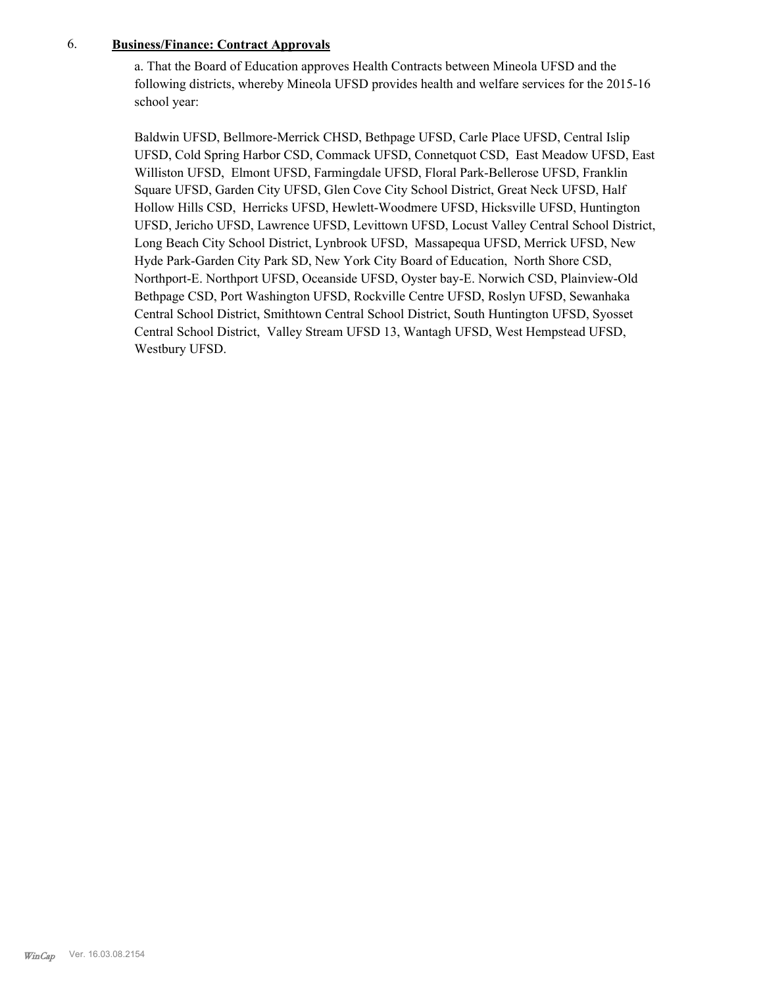# 6. **Business/Finance: Contract Approvals**

a. That the Board of Education approves Health Contracts between Mineola UFSD and the following districts, whereby Mineola UFSD provides health and welfare services for the 2015-16 school year:

Baldwin UFSD, Bellmore-Merrick CHSD, Bethpage UFSD, Carle Place UFSD, Central Islip UFSD, Cold Spring Harbor CSD, Commack UFSD, Connetquot CSD, East Meadow UFSD, East Williston UFSD, Elmont UFSD, Farmingdale UFSD, Floral Park-Bellerose UFSD, Franklin Square UFSD, Garden City UFSD, Glen Cove City School District, Great Neck UFSD, Half Hollow Hills CSD, Herricks UFSD, Hewlett-Woodmere UFSD, Hicksville UFSD, Huntington UFSD, Jericho UFSD, Lawrence UFSD, Levittown UFSD, Locust Valley Central School District, Long Beach City School District, Lynbrook UFSD, Massapequa UFSD, Merrick UFSD, New Hyde Park-Garden City Park SD, New York City Board of Education, North Shore CSD, Northport-E. Northport UFSD, Oceanside UFSD, Oyster bay-E. Norwich CSD, Plainview-Old Bethpage CSD, Port Washington UFSD, Rockville Centre UFSD, Roslyn UFSD, Sewanhaka Central School District, Smithtown Central School District, South Huntington UFSD, Syosset Central School District, Valley Stream UFSD 13, Wantagh UFSD, West Hempstead UFSD, Westbury UFSD.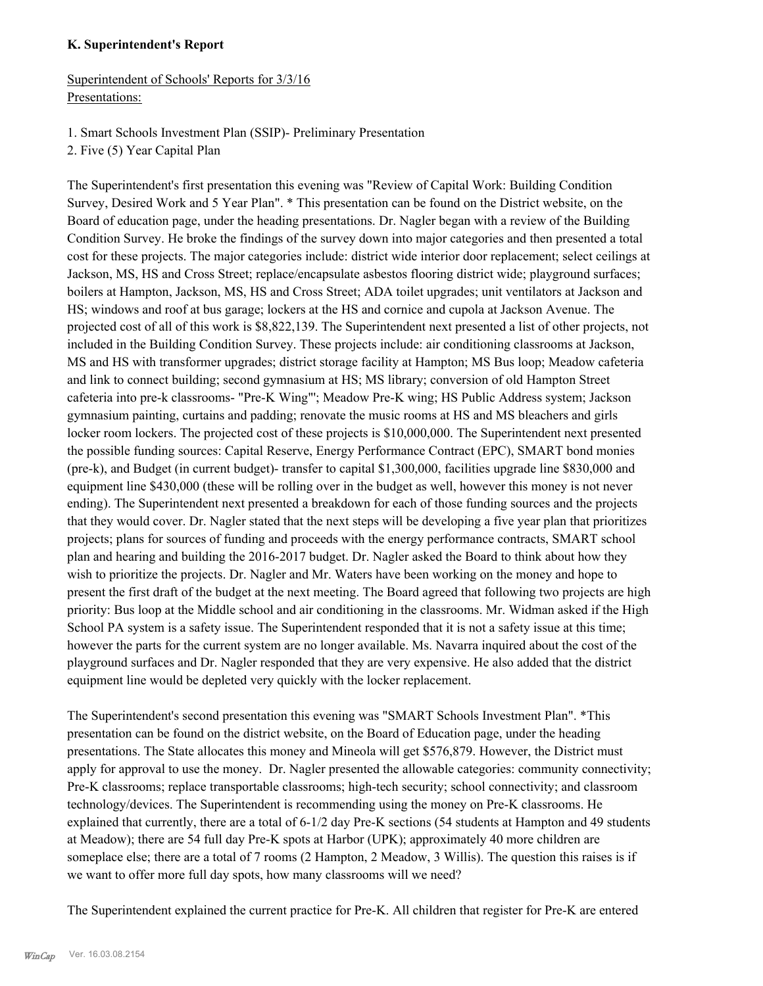#### **K. Superintendent's Report**

Superintendent of Schools' Reports for 3/3/16 Presentations:

- 1. Smart Schools Investment Plan (SSIP)- Preliminary Presentation
- 2. Five (5) Year Capital Plan

The Superintendent's first presentation this evening was "Review of Capital Work: Building Condition Survey, Desired Work and 5 Year Plan". \* This presentation can be found on the District website, on the Board of education page, under the heading presentations. Dr. Nagler began with a review of the Building Condition Survey. He broke the findings of the survey down into major categories and then presented a total cost for these projects. The major categories include: district wide interior door replacement; select ceilings at Jackson, MS, HS and Cross Street; replace/encapsulate asbestos flooring district wide; playground surfaces; boilers at Hampton, Jackson, MS, HS and Cross Street; ADA toilet upgrades; unit ventilators at Jackson and HS; windows and roof at bus garage; lockers at the HS and cornice and cupola at Jackson Avenue. The projected cost of all of this work is \$8,822,139. The Superintendent next presented a list of other projects, not included in the Building Condition Survey. These projects include: air conditioning classrooms at Jackson, MS and HS with transformer upgrades; district storage facility at Hampton; MS Bus loop; Meadow cafeteria and link to connect building; second gymnasium at HS; MS library; conversion of old Hampton Street cafeteria into pre-k classrooms- "Pre-K Wing"'; Meadow Pre-K wing; HS Public Address system; Jackson gymnasium painting, curtains and padding; renovate the music rooms at HS and MS bleachers and girls locker room lockers. The projected cost of these projects is \$10,000,000. The Superintendent next presented the possible funding sources: Capital Reserve, Energy Performance Contract (EPC), SMART bond monies (pre-k), and Budget (in current budget)- transfer to capital \$1,300,000, facilities upgrade line \$830,000 and equipment line \$430,000 (these will be rolling over in the budget as well, however this money is not never ending). The Superintendent next presented a breakdown for each of those funding sources and the projects that they would cover. Dr. Nagler stated that the next steps will be developing a five year plan that prioritizes projects; plans for sources of funding and proceeds with the energy performance contracts, SMART school plan and hearing and building the 2016-2017 budget. Dr. Nagler asked the Board to think about how they wish to prioritize the projects. Dr. Nagler and Mr. Waters have been working on the money and hope to present the first draft of the budget at the next meeting. The Board agreed that following two projects are high priority: Bus loop at the Middle school and air conditioning in the classrooms. Mr. Widman asked if the High School PA system is a safety issue. The Superintendent responded that it is not a safety issue at this time; however the parts for the current system are no longer available. Ms. Navarra inquired about the cost of the playground surfaces and Dr. Nagler responded that they are very expensive. He also added that the district equipment line would be depleted very quickly with the locker replacement.

The Superintendent's second presentation this evening was "SMART Schools Investment Plan". \*This presentation can be found on the district website, on the Board of Education page, under the heading presentations. The State allocates this money and Mineola will get \$576,879. However, the District must apply for approval to use the money. Dr. Nagler presented the allowable categories: community connectivity; Pre-K classrooms; replace transportable classrooms; high-tech security; school connectivity; and classroom technology/devices. The Superintendent is recommending using the money on Pre-K classrooms. He explained that currently, there are a total of 6-1/2 day Pre-K sections (54 students at Hampton and 49 students at Meadow); there are 54 full day Pre-K spots at Harbor (UPK); approximately 40 more children are someplace else; there are a total of 7 rooms (2 Hampton, 2 Meadow, 3 Willis). The question this raises is if we want to offer more full day spots, how many classrooms will we need?

The Superintendent explained the current practice for Pre-K. All children that register for Pre-K are entered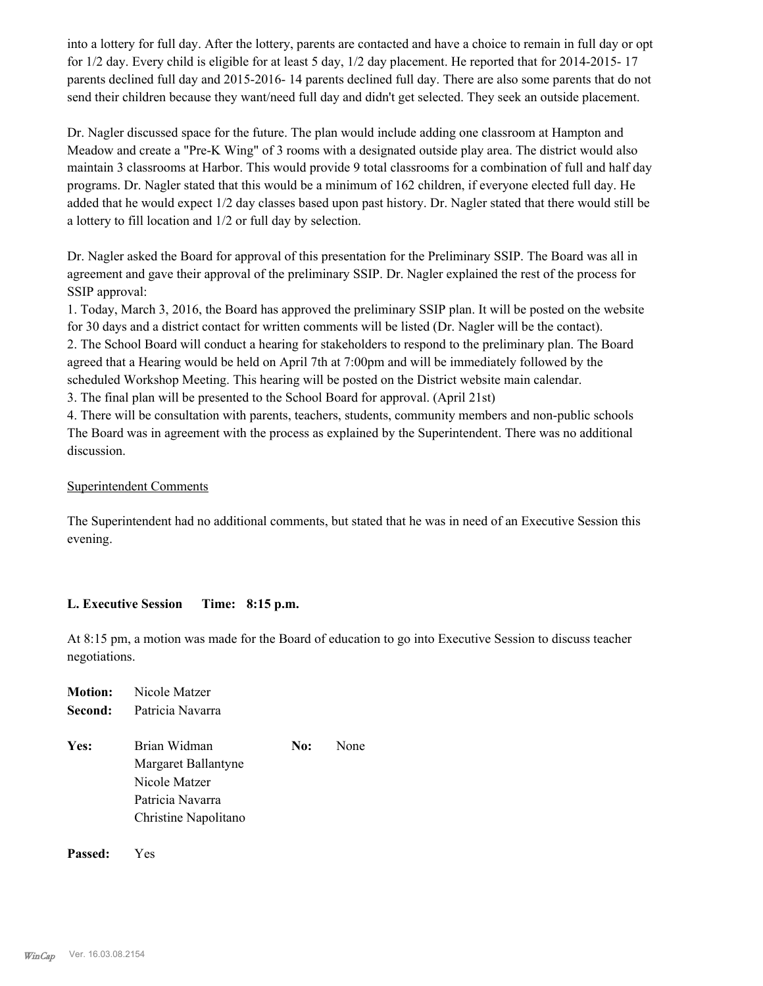into a lottery for full day. After the lottery, parents are contacted and have a choice to remain in full day or opt for 1/2 day. Every child is eligible for at least 5 day, 1/2 day placement. He reported that for 2014-2015- 17 parents declined full day and 2015-2016- 14 parents declined full day. There are also some parents that do not send their children because they want/need full day and didn't get selected. They seek an outside placement.

Dr. Nagler discussed space for the future. The plan would include adding one classroom at Hampton and Meadow and create a "Pre-K Wing" of 3 rooms with a designated outside play area. The district would also maintain 3 classrooms at Harbor. This would provide 9 total classrooms for a combination of full and half day programs. Dr. Nagler stated that this would be a minimum of 162 children, if everyone elected full day. He added that he would expect 1/2 day classes based upon past history. Dr. Nagler stated that there would still be a lottery to fill location and 1/2 or full day by selection.

Dr. Nagler asked the Board for approval of this presentation for the Preliminary SSIP. The Board was all in agreement and gave their approval of the preliminary SSIP. Dr. Nagler explained the rest of the process for SSIP approval:

1. Today, March 3, 2016, the Board has approved the preliminary SSIP plan. It will be posted on the website for 30 days and a district contact for written comments will be listed (Dr. Nagler will be the contact). 2. The School Board will conduct a hearing for stakeholders to respond to the preliminary plan. The Board agreed that a Hearing would be held on April 7th at 7:00pm and will be immediately followed by the scheduled Workshop Meeting. This hearing will be posted on the District website main calendar.

3. The final plan will be presented to the School Board for approval. (April 21st)

4. There will be consultation with parents, teachers, students, community members and non-public schools The Board was in agreement with the process as explained by the Superintendent. There was no additional discussion.

# Superintendent Comments

The Superintendent had no additional comments, but stated that he was in need of an Executive Session this evening.

## **L. Executive Session Time: 8:15 p.m.**

At 8:15 pm, a motion was made for the Board of education to go into Executive Session to discuss teacher negotiations.

| Motion: | Nicole Matzer                                                                                    |     |      |
|---------|--------------------------------------------------------------------------------------------------|-----|------|
| Second: | Patricia Navarra                                                                                 |     |      |
| Yes:    | Brian Widman<br>Margaret Ballantyne<br>Nicole Matzer<br>Patricia Navarra<br>Christine Napolitano | No: | None |
|         |                                                                                                  |     |      |

**Passed:** Yes